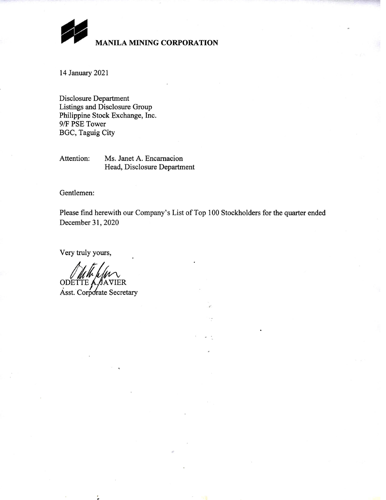

# MANILA MINING CORPORATION

14 January 2021

Disclosure Department Listings and Disclosure Group Philippine Stock Exchange, Inc. 9/F PSE Tower **BGC, Taguig City** 

Attention: Ms. Janet A. Encarnacion Head, Disclosure Department

Gentlemen:

Please find herewith our Company's List of Top 100 Stockholders for the quarter ended December 31, 2020

Very truly yours,

ODETTE A SAVIER Asst. Corporate Secretary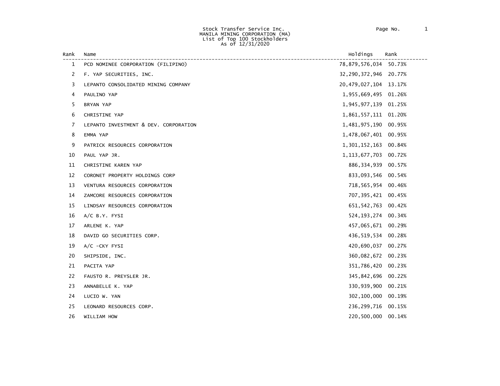| Rank | Name                                  | Holdings                 | Rank   |
|------|---------------------------------------|--------------------------|--------|
| 1    | PCD NOMINEE CORPORATION (FILIPINO)    | 78,879,576,034 50.73%    |        |
| 2    | F. YAP SECURITIES, INC.               | 32, 290, 372, 946 20.77% |        |
| 3    | LEPANTO CONSOLIDATED MINING COMPANY   | 20, 479, 027, 104 13.17% |        |
| 4    | PAULINO YAP                           | 1,955,669,495 01.26%     |        |
| 5    | BRYAN YAP                             | 1,945,977,139 01.25%     |        |
| 6    | CHRISTINE YAP                         | 1,861,557,111 01.20%     |        |
| 7    | LEPANTO INVESTMENT & DEV. CORPORATION | 1,481,975,190 00.95%     |        |
| 8    | EMMA YAP                              | 1,478,067,401 00.95%     |        |
| 9    | PATRICK RESOURCES CORPORATION         | 1,301,152,163            | 00.84% |
| 10   | PAUL YAP JR.                          | 1, 113, 677, 703 00. 72% |        |
| 11   | CHRISTINE KAREN YAP                   | 886, 334, 939 00.57%     |        |
| 12   | CORONET PROPERTY HOLDINGS CORP        | 833,093,546 00.54%       |        |
| 13   | VENTURA RESOURCES CORPORATION         | 718,565,954 00.46%       |        |
| 14   | ZAMCORE RESOURCES CORPORATION         | 707, 395, 421 00.45%     |        |
| 15   | LINDSAY RESOURCES CORPORATION         | 651, 542, 763 00.42%     |        |
| 16   | $A/C$ B.Y. FYSI                       | 524, 193, 274 00.34%     |        |
| 17   | ARLENE K. YAP                         | 457,065,671 00.29%       |        |
| 18   | DAVID GO SECURITIES CORP.             | 436,519,534 00.28%       |        |
| 19   | $A/C$ -CKY FYSI                       | 420,690,037              | 00.27% |
| 20   | SHIPSIDE, INC.                        | 360,082,672 00.23%       |        |
| 21   | PACITA YAP                            | 351,786,420 00.23%       |        |
| 22   | FAUSTO R. PREYSLER JR.                | 345,842,696 00.22%       |        |
| 23   | ANNABELLE K. YAP                      | 330,939,900 00.21%       |        |
| 24   | LUCIO W. YAN                          | 302,100,000              | 00.19% |
| 25   | LEONARD RESOURCES CORP.               | 236, 299, 716 00.15%     |        |
| 26   | WILLIAM HOW                           | 220,500,000 00.14%       |        |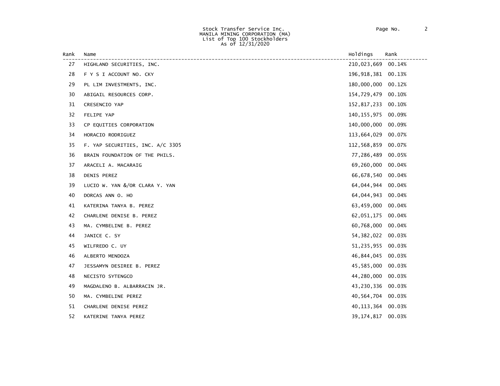| Rank | Name                             | Holdings            | Rank   |
|------|----------------------------------|---------------------|--------|
| 27   | HIGHLAND SECURITIES, INC.        | 210,023,669         | 00.14% |
| 28   | F Y S I ACCOUNT NO. CKY          | 196, 918, 381       | 00.13% |
| 29   | PL LIM INVESTMENTS, INC.         | 180,000,000         | 00.12% |
| 30   | ABIGAIL RESOURCES CORP.          | 154,729,479         | 00.10% |
| 31   | CRESENCIO YAP                    | 152,817,233 00.10%  |        |
| 32   | FELIPE YAP                       | 140,155,975         | 00.09% |
| 33   | CP EQUITIES CORPORATION          | 140,000,000         | 00.09% |
| 34   | HORACIO RODRIGUEZ                | 113,664,029         | 00.07% |
| 35   | F. YAP SECURITIES, INC. A/C 3305 | 112,568,859         | 00.07% |
| 36   | BRAIN FOUNDATION OF THE PHILS.   | 77,286,489          | 00.05% |
| 37   | ARACELI A. MACARAIG              | 69,260,000          | 00.04% |
| 38   | DENIS PEREZ                      | 66,678,540          | 00.04% |
| 39   | LUCIO W. YAN &/OR CLARA Y. YAN   | 64,044,944          | 00.04% |
| 40   | DORCAS ANN O. HO                 | 64,044,943          | 00.04% |
| 41   | KATERINA TANYA B. PEREZ          | 63,459,000          | 00.04% |
| 42   | CHARLENE DENISE B. PEREZ         | 62,051,175          | 00.04% |
| 43   | MA. CYMBELINE B. PEREZ           | 60,768,000          | 00.04% |
| 44   | JANICE C. SY                     | 54, 382, 022        | 00.03% |
| 45   | WILFREDO C. UY                   | 51,235,955          | 00.03% |
| 46   | ALBERTO MENDOZA                  | 46,844,045          | 00.03% |
| 47   | JESSAMYN DESIREE B. PEREZ        | 45,585,000          | 00.03% |
| 48   | NECISTO SYTENGCO                 | 44,280,000          | 00.03% |
| 49   | MAGDALENO B. ALBARRACIN JR.      | 43,230,336 00.03%   |        |
| 50   | MA. CYMBELINE PEREZ              | 40,564,704          | 00.03% |
| 51   | CHARLENE DENISE PEREZ            | 40, 113, 364 00.03% |        |
| 52   | KATERINE TANYA PEREZ             | 39,174,817          | 00.03% |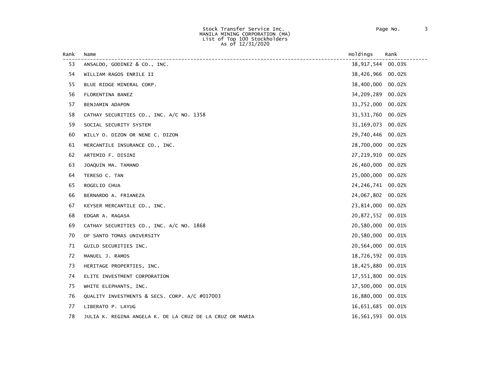| Rank | Name                                                     | Holdings     | Rank   |
|------|----------------------------------------------------------|--------------|--------|
| 53   | ANSALDO, GODINEZ & CO., INC.                             | 38,917,544   | 00.03% |
| 54   | WILLIAM RAGOS ENRILE II                                  | 38,426,966   | 00.02% |
| 55   | BLUE RIDGE MINERAL CORP.                                 | 38,400,000   | 00.02% |
| 56   | FLORENTINA BANEZ                                         | 34,209,289   | 00.02% |
| 57   | BENJAMIN ADAPON                                          | 31,752,000   | 00.02% |
| 58   | CATHAY SECURITIES CO., INC. A/C NO. 1358                 | 31,531,760   | 00.02% |
| 59   | SOCIAL SECURITY SYSTEM                                   | 31, 169, 073 | 00.02% |
| 60   | WILLY 0. DIZON OR NENE C. DIZON                          | 29,740,446   | 00.02% |
| 61   | MERCANTILE INSURANCE CO., INC.                           | 28,700,000   | 00.02% |
| 62   | ARTEMIO F. DISINI                                        | 27,219,910   | 00.02% |
| 63   | JOAQUIN MA. TAMANO                                       | 26,460,000   | 00.02% |
| 64   | TERESO C. TAN                                            | 25,000,000   | 00.02% |
| 65   | ROGELIO CHUA                                             | 24, 246, 741 | 00.02% |
| 66   | BERNARDO A. FRIANEZA                                     | 24,067,802   | 00.02% |
| 67   | KEYSER MERCANTILE CO., INC.                              | 23,814,000   | 00.02% |
| 68   | EDGAR A. RAGASA                                          | 20,872,552   | 00.01% |
| 69   | CATHAY SECURITIES CO., INC. A/C NO. 1868                 | 20,580,000   | 00.01% |
| 70   | OF SANTO TOMAS UNIVERSITY                                | 20,580,000   | 00.01% |
| 71   | GUILD SECURITIES INC.                                    | 20,564,000   | 00.01% |
| 72   | MANUEL J. RAMOS                                          | 18,726,592   | 00.01% |
| 73   | HERITAGE PROPERTIES, INC.                                | 18,425,880   | 00.01% |
| 74   | ELITE INVESTMENT CORPORATION                             | 17,551,800   | 00.01% |
| 75   | WHITE ELEPHANTS, INC.                                    | 17,500,000   | 00.01% |
| 76   | QUALITY INVESTMENTS & SECS. CORP. A/C #017003            | 16,880,000   | 00.01% |
| 77   | LIBERATO P. LAYUG                                        | 16,651,685   | 00.01% |
| 78   | JULIA K. REGINA ANGELA K. DE LA CRUZ DE LA CRUZ OR MARIA | 16,561,593   | 00.01% |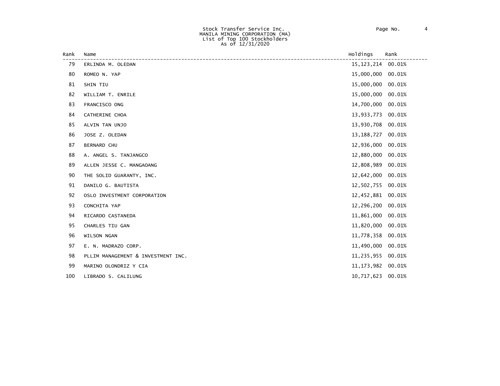| Rank | Name                               | Holdings     | Rank   |
|------|------------------------------------|--------------|--------|
| 79   | ERLINDA M. OLEDAN                  | 15, 123, 214 | 00.01% |
| 80   | ROMEO N. YAP                       | 15,000,000   | 00.01% |
| 81   | SHIN TIU                           | 15,000,000   | 00.01% |
| 82   | WILLIAM T. ENRILE                  | 15,000,000   | 00.01% |
| 83   | FRANCISCO ONG                      | 14,700,000   | 00.01% |
| 84   | CATHERINE CHOA                     | 13,933,773   | 00.01% |
| 85   | ALVIN TAN UNJO                     | 13,930,708   | 00.01% |
| 86   | JOSE Z. OLEDAN                     | 13, 188, 727 | 00.01% |
| 87   | <b>BERNARD CHU</b>                 | 12,936,000   | 00.01% |
| 88   | A. ANGEL S. TANJANGCO              | 12,880,000   | 00.01% |
| 89   | ALLEN JESSE C. MANGAOANG           | 12,808,989   | 00.01% |
| 90   | THE SOLID GUARANTY, INC.           | 12,642,000   | 00.01% |
| 91   | DANILO G. BAUTISTA                 | 12,502,755   | 00.01% |
| 92   | OSLO INVESTMENT CORPORATION        | 12,452,881   | 00.01% |
| 93   | CONCHITA YAP                       | 12,296,200   | 00.01% |
| 94   | RICARDO CASTANEDA                  | 11,861,000   | 00.01% |
| 95   | CHARLES TIU GAN                    | 11,820,000   | 00.01% |
| 96   | WILSON NGAN                        | 11,778,358   | 00.01% |
| 97   | E. N. MADRAZO CORP.                | 11,490,000   | 00.01% |
| 98   | PLLIM MANAGEMENT & INVESTMENT INC. | 11,235,955   | 00.01% |
| 99   | MARINO OLONDRIZ Y CIA              | 11, 173, 982 | 00.01% |
| 100  | LIBRADO S. CALILUNG                | 10,717,623   | 00.01% |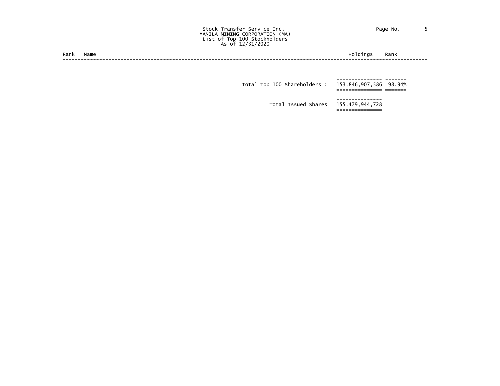#### Stock Transfer Service Inc. The Contract of Page No. 5 MANILA MINING CORPORATION (MA) List of Top 100 Stockholders As of 12/31/2020

| --<br>Rank | lame | nc | ,,,, |
|------------|------|----|------|
|            |      |    |      |

 --------------- ------- Total Top 100 Shareholders : 153,846,907,586 98.94%<br>=============== ======

Total Issued Shares 155,479,944,728

===============

---------------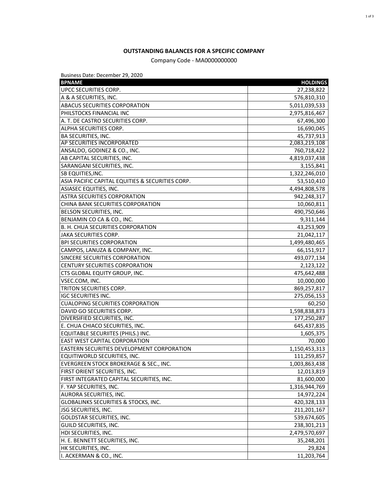# **OUTSTANDING BALANCES FOR A SPECIFIC COMPANY**

# Company Code - MA0000000000

Business Date: December 29, 2020

| <b>BPNAME</b>                                     | <b>HOLDINGS</b> |
|---------------------------------------------------|-----------------|
| UPCC SECURITIES CORP.                             | 27,238,822      |
| A & A SECURITIES, INC.                            | 576,810,310     |
| <b>ABACUS SECURITIES CORPORATION</b>              | 5,011,039,533   |
| PHILSTOCKS FINANCIAL INC                          | 2,975,816,467   |
| A. T. DE CASTRO SECURITIES CORP.                  | 67,496,300      |
| ALPHA SECURITIES CORP.                            | 16,690,045      |
| <b>BA SECURITIES, INC.</b>                        | 45,737,913      |
| AP SECURITIES INCORPORATED                        | 2,083,219,108   |
| ANSALDO, GODINEZ & CO., INC.                      | 760,718,422     |
| AB CAPITAL SECURITIES, INC.                       | 4,819,037,438   |
| SARANGANI SECURITIES, INC.                        | 3,155,841       |
| <b>SB EQUITIES, INC.</b>                          | 1,322,246,010   |
| ASIA PACIFIC CAPITAL EQUITIES & SECURITIES CORP.  | 53,510,410      |
| ASIASEC EQUITIES, INC.                            | 4,494,808,578   |
| <b>ASTRA SECURITIES CORPORATION</b>               | 942,248,317     |
| CHINA BANK SECURITIES CORPORATION                 | 10,060,811      |
| BELSON SECURITIES, INC.                           | 490,750,646     |
| BENJAMIN CO CA & CO., INC.                        | 9,311,144       |
| B. H. CHUA SECURITIES CORPORATION                 | 43,253,909      |
| JAKA SECURITIES CORP.                             | 21,042,117      |
| <b>BPI SECURITIES CORPORATION</b>                 | 1,499,480,465   |
| CAMPOS, LANUZA & COMPANY, INC.                    | 66,151,917      |
| SINCERE SECURITIES CORPORATION                    | 493,077,134     |
| <b>CENTURY SECURITIES CORPORATION</b>             | 2,123,122       |
| CTS GLOBAL EQUITY GROUP, INC.                     | 475,642,488     |
| VSEC.COM, INC.                                    | 10,000,000      |
| <b>TRITON SECURITIES CORP.</b>                    | 869,257,817     |
| <b>IGC SECURITIES INC.</b>                        | 275,056,153     |
| <b>CUALOPING SECURITIES CORPORATION</b>           | 60,250          |
| DAVID GO SECURITIES CORP.                         | 1,598,838,873   |
| DIVERSIFIED SECURITIES, INC.                      | 177,250,287     |
| E. CHUA CHIACO SECURITIES, INC.                   | 645,437,835     |
| EQUITABLE SECURIITES (PHILS.) INC.                | 1,605,375       |
| <b>EAST WEST CAPITAL CORPORATION</b>              | 70,000          |
| <b>EASTERN SECURITIES DEVELOPMENT CORPORATION</b> | 1,150,453,313   |
| EQUITIWORLD SECURITIES, INC.                      | 111,259,857     |
| EVERGREEN STOCK BROKERAGE & SEC., INC.            | 1,003,863,438   |
| FIRST ORIENT SECURITIES, INC.                     | 12,013,819      |
| FIRST INTEGRATED CAPITAL SECURITIES, INC.         | 81,600,000      |
| F. YAP SECURITIES, INC.                           | 1,316,944,769   |
| AURORA SECURITIES, INC.                           | 14,972,224      |
| <b>GLOBALINKS SECURITIES &amp; STOCKS, INC.</b>   | 420,328,133     |
| JSG SECURITIES, INC.                              | 211,201,167     |
| <b>GOLDSTAR SECURITIES, INC.</b>                  | 539,674,605     |
| GUILD SECURITIES, INC.                            | 238,301,213     |
| HDI SECURITIES, INC.                              | 2,479,570,697   |
| H. E. BENNETT SECURITIES, INC.                    | 35,248,201      |
| HK SECURITIES, INC.                               | 29,824          |
| I. ACKERMAN & CO., INC.                           | 11,203,764      |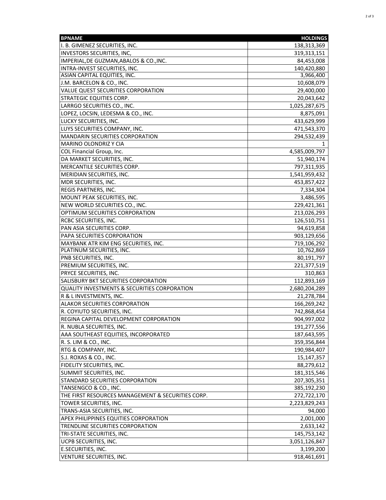| I. B. GIMENEZ SECURITIES, INC.<br>138,313,369<br>INVESTORS SECURITIES, INC,<br>319,313,151<br>IMPERIAL, DE GUZMAN, ABALOS & CO., INC.<br>84,453,008<br>INTRA-INVEST SECURITIES, INC.<br>140,420,880<br>ASIAN CAPITAL EQUITIES, INC.<br>3,966,400<br>J.M. BARCELON & CO., INC.<br>10,608,079<br>VALUE QUEST SECURITIES CORPORATION<br>29,400,000<br><b>STRATEGIC EQUITIES CORP.</b><br>20,043,642<br>LARRGO SECURITIES CO., INC.<br>1,025,287,675<br>LOPEZ, LOCSIN, LEDESMA & CO., INC.<br>8,875,091<br>LUCKY SECURITIES, INC.<br>433,629,999<br>LUYS SECURITIES COMPANY, INC.<br>471,543,370<br>294,532,439<br><b>MANDARIN SECURITIES CORPORATION</b><br><b>MARINO OLONDRIZ Y CIA</b><br>COL Financial Group, Inc.<br>4,585,009,797<br>DA MARKET SECURITIES, INC.<br>51,940,174<br>MERCANTILE SECURITIES CORP.<br>797,311,935<br>MERIDIAN SECURITIES, INC.<br>1,541,959,432<br>MDR SECURITIES, INC.<br>453,857,422<br>REGIS PARTNERS, INC.<br>7,334,304<br>MOUNT PEAK SECURITIES, INC.<br>3,486,595<br>NEW WORLD SECURITIES CO., INC.<br>229,421,361<br>OPTIMUM SECURITIES CORPORATION<br>213,026,293<br>RCBC SECURITIES, INC.<br>126,510,751<br>PAN ASIA SECURITIES CORP.<br>94,619,858<br>PAPA SECURITIES CORPORATION<br>903,129,656<br>MAYBANK ATR KIM ENG SECURITIES, INC.<br>719,106,292<br>10,762,869<br>PLATINUM SECURITIES, INC.<br>PNB SECURITIES, INC.<br>80,191,797<br>PREMIUM SECURITIES, INC.<br>221,377,519<br>PRYCE SECURITIES, INC.<br>310,863<br>SALISBURY BKT SECURITIES CORPORATION<br>112,893,169<br><b>QUALITY INVESTMENTS &amp; SECURITIES CORPORATION</b><br>2,680,204,289<br>R & L INVESTMENTS, INC.<br>21,278,784<br><b>ALAKOR SECURITIES CORPORATION</b><br>166,269,242<br>R. COYIUTO SECURITIES, INC.<br>742,868,454<br>REGINA CAPITAL DEVELOPMENT CORPORATION<br>904,997,002<br>191,277,556<br>R. NUBLA SECURITIES, INC.<br>AAA SOUTHEAST EQUITIES, INCORPORATED<br>187,643,595<br>R. S. LIM & CO., INC.<br>359,356,844<br>RTG & COMPANY, INC.<br>190,984,407<br>S.J. ROXAS & CO., INC.<br>15,147,357<br>88,279,612<br><b>FIDELITY SECURITIES, INC.</b><br>SUMMIT SECURITIES, INC.<br>181,315,546<br>STANDARD SECURITIES CORPORATION<br>207,305,351<br>TANSENGCO & CO., INC.<br>385,192,230<br>THE FIRST RESOURCES MANAGEMENT & SECURITIES CORP.<br>272,722,170<br>TOWER SECURITIES, INC.<br>2,223,829,243<br>TRANS-ASIA SECURITIES, INC.<br>94,000<br><b>APEX PHILIPPINES EQUITIES CORPORATION</b><br>2,001,000<br>TRENDLINE SECURITIES CORPORATION<br>2,633,142<br>TRI-STATE SECURITIES, INC.<br>145,753,142<br>UCPB SECURITIES, INC.<br>3,051,126,847<br>E.SECURITIES, INC.<br>3,199,200<br>VENTURE SECURITIES, INC.<br>918,461,691 | <b>BPNAME</b> | <b>HOLDINGS</b> |
|--------------------------------------------------------------------------------------------------------------------------------------------------------------------------------------------------------------------------------------------------------------------------------------------------------------------------------------------------------------------------------------------------------------------------------------------------------------------------------------------------------------------------------------------------------------------------------------------------------------------------------------------------------------------------------------------------------------------------------------------------------------------------------------------------------------------------------------------------------------------------------------------------------------------------------------------------------------------------------------------------------------------------------------------------------------------------------------------------------------------------------------------------------------------------------------------------------------------------------------------------------------------------------------------------------------------------------------------------------------------------------------------------------------------------------------------------------------------------------------------------------------------------------------------------------------------------------------------------------------------------------------------------------------------------------------------------------------------------------------------------------------------------------------------------------------------------------------------------------------------------------------------------------------------------------------------------------------------------------------------------------------------------------------------------------------------------------------------------------------------------------------------------------------------------------------------------------------------------------------------------------------------------------------------------------------------------------------------------------------------------------------------------------------------------------------------------------------------------------------------------------------------------------------------------------------------------------------------------------------------------------------------------------------------|---------------|-----------------|
|                                                                                                                                                                                                                                                                                                                                                                                                                                                                                                                                                                                                                                                                                                                                                                                                                                                                                                                                                                                                                                                                                                                                                                                                                                                                                                                                                                                                                                                                                                                                                                                                                                                                                                                                                                                                                                                                                                                                                                                                                                                                                                                                                                                                                                                                                                                                                                                                                                                                                                                                                                                                                                                                    |               |                 |
|                                                                                                                                                                                                                                                                                                                                                                                                                                                                                                                                                                                                                                                                                                                                                                                                                                                                                                                                                                                                                                                                                                                                                                                                                                                                                                                                                                                                                                                                                                                                                                                                                                                                                                                                                                                                                                                                                                                                                                                                                                                                                                                                                                                                                                                                                                                                                                                                                                                                                                                                                                                                                                                                    |               |                 |
|                                                                                                                                                                                                                                                                                                                                                                                                                                                                                                                                                                                                                                                                                                                                                                                                                                                                                                                                                                                                                                                                                                                                                                                                                                                                                                                                                                                                                                                                                                                                                                                                                                                                                                                                                                                                                                                                                                                                                                                                                                                                                                                                                                                                                                                                                                                                                                                                                                                                                                                                                                                                                                                                    |               |                 |
|                                                                                                                                                                                                                                                                                                                                                                                                                                                                                                                                                                                                                                                                                                                                                                                                                                                                                                                                                                                                                                                                                                                                                                                                                                                                                                                                                                                                                                                                                                                                                                                                                                                                                                                                                                                                                                                                                                                                                                                                                                                                                                                                                                                                                                                                                                                                                                                                                                                                                                                                                                                                                                                                    |               |                 |
|                                                                                                                                                                                                                                                                                                                                                                                                                                                                                                                                                                                                                                                                                                                                                                                                                                                                                                                                                                                                                                                                                                                                                                                                                                                                                                                                                                                                                                                                                                                                                                                                                                                                                                                                                                                                                                                                                                                                                                                                                                                                                                                                                                                                                                                                                                                                                                                                                                                                                                                                                                                                                                                                    |               |                 |
|                                                                                                                                                                                                                                                                                                                                                                                                                                                                                                                                                                                                                                                                                                                                                                                                                                                                                                                                                                                                                                                                                                                                                                                                                                                                                                                                                                                                                                                                                                                                                                                                                                                                                                                                                                                                                                                                                                                                                                                                                                                                                                                                                                                                                                                                                                                                                                                                                                                                                                                                                                                                                                                                    |               |                 |
|                                                                                                                                                                                                                                                                                                                                                                                                                                                                                                                                                                                                                                                                                                                                                                                                                                                                                                                                                                                                                                                                                                                                                                                                                                                                                                                                                                                                                                                                                                                                                                                                                                                                                                                                                                                                                                                                                                                                                                                                                                                                                                                                                                                                                                                                                                                                                                                                                                                                                                                                                                                                                                                                    |               |                 |
|                                                                                                                                                                                                                                                                                                                                                                                                                                                                                                                                                                                                                                                                                                                                                                                                                                                                                                                                                                                                                                                                                                                                                                                                                                                                                                                                                                                                                                                                                                                                                                                                                                                                                                                                                                                                                                                                                                                                                                                                                                                                                                                                                                                                                                                                                                                                                                                                                                                                                                                                                                                                                                                                    |               |                 |
|                                                                                                                                                                                                                                                                                                                                                                                                                                                                                                                                                                                                                                                                                                                                                                                                                                                                                                                                                                                                                                                                                                                                                                                                                                                                                                                                                                                                                                                                                                                                                                                                                                                                                                                                                                                                                                                                                                                                                                                                                                                                                                                                                                                                                                                                                                                                                                                                                                                                                                                                                                                                                                                                    |               |                 |
|                                                                                                                                                                                                                                                                                                                                                                                                                                                                                                                                                                                                                                                                                                                                                                                                                                                                                                                                                                                                                                                                                                                                                                                                                                                                                                                                                                                                                                                                                                                                                                                                                                                                                                                                                                                                                                                                                                                                                                                                                                                                                                                                                                                                                                                                                                                                                                                                                                                                                                                                                                                                                                                                    |               |                 |
|                                                                                                                                                                                                                                                                                                                                                                                                                                                                                                                                                                                                                                                                                                                                                                                                                                                                                                                                                                                                                                                                                                                                                                                                                                                                                                                                                                                                                                                                                                                                                                                                                                                                                                                                                                                                                                                                                                                                                                                                                                                                                                                                                                                                                                                                                                                                                                                                                                                                                                                                                                                                                                                                    |               |                 |
|                                                                                                                                                                                                                                                                                                                                                                                                                                                                                                                                                                                                                                                                                                                                                                                                                                                                                                                                                                                                                                                                                                                                                                                                                                                                                                                                                                                                                                                                                                                                                                                                                                                                                                                                                                                                                                                                                                                                                                                                                                                                                                                                                                                                                                                                                                                                                                                                                                                                                                                                                                                                                                                                    |               |                 |
|                                                                                                                                                                                                                                                                                                                                                                                                                                                                                                                                                                                                                                                                                                                                                                                                                                                                                                                                                                                                                                                                                                                                                                                                                                                                                                                                                                                                                                                                                                                                                                                                                                                                                                                                                                                                                                                                                                                                                                                                                                                                                                                                                                                                                                                                                                                                                                                                                                                                                                                                                                                                                                                                    |               |                 |
|                                                                                                                                                                                                                                                                                                                                                                                                                                                                                                                                                                                                                                                                                                                                                                                                                                                                                                                                                                                                                                                                                                                                                                                                                                                                                                                                                                                                                                                                                                                                                                                                                                                                                                                                                                                                                                                                                                                                                                                                                                                                                                                                                                                                                                                                                                                                                                                                                                                                                                                                                                                                                                                                    |               |                 |
|                                                                                                                                                                                                                                                                                                                                                                                                                                                                                                                                                                                                                                                                                                                                                                                                                                                                                                                                                                                                                                                                                                                                                                                                                                                                                                                                                                                                                                                                                                                                                                                                                                                                                                                                                                                                                                                                                                                                                                                                                                                                                                                                                                                                                                                                                                                                                                                                                                                                                                                                                                                                                                                                    |               |                 |
|                                                                                                                                                                                                                                                                                                                                                                                                                                                                                                                                                                                                                                                                                                                                                                                                                                                                                                                                                                                                                                                                                                                                                                                                                                                                                                                                                                                                                                                                                                                                                                                                                                                                                                                                                                                                                                                                                                                                                                                                                                                                                                                                                                                                                                                                                                                                                                                                                                                                                                                                                                                                                                                                    |               |                 |
|                                                                                                                                                                                                                                                                                                                                                                                                                                                                                                                                                                                                                                                                                                                                                                                                                                                                                                                                                                                                                                                                                                                                                                                                                                                                                                                                                                                                                                                                                                                                                                                                                                                                                                                                                                                                                                                                                                                                                                                                                                                                                                                                                                                                                                                                                                                                                                                                                                                                                                                                                                                                                                                                    |               |                 |
|                                                                                                                                                                                                                                                                                                                                                                                                                                                                                                                                                                                                                                                                                                                                                                                                                                                                                                                                                                                                                                                                                                                                                                                                                                                                                                                                                                                                                                                                                                                                                                                                                                                                                                                                                                                                                                                                                                                                                                                                                                                                                                                                                                                                                                                                                                                                                                                                                                                                                                                                                                                                                                                                    |               |                 |
|                                                                                                                                                                                                                                                                                                                                                                                                                                                                                                                                                                                                                                                                                                                                                                                                                                                                                                                                                                                                                                                                                                                                                                                                                                                                                                                                                                                                                                                                                                                                                                                                                                                                                                                                                                                                                                                                                                                                                                                                                                                                                                                                                                                                                                                                                                                                                                                                                                                                                                                                                                                                                                                                    |               |                 |
|                                                                                                                                                                                                                                                                                                                                                                                                                                                                                                                                                                                                                                                                                                                                                                                                                                                                                                                                                                                                                                                                                                                                                                                                                                                                                                                                                                                                                                                                                                                                                                                                                                                                                                                                                                                                                                                                                                                                                                                                                                                                                                                                                                                                                                                                                                                                                                                                                                                                                                                                                                                                                                                                    |               |                 |
|                                                                                                                                                                                                                                                                                                                                                                                                                                                                                                                                                                                                                                                                                                                                                                                                                                                                                                                                                                                                                                                                                                                                                                                                                                                                                                                                                                                                                                                                                                                                                                                                                                                                                                                                                                                                                                                                                                                                                                                                                                                                                                                                                                                                                                                                                                                                                                                                                                                                                                                                                                                                                                                                    |               |                 |
|                                                                                                                                                                                                                                                                                                                                                                                                                                                                                                                                                                                                                                                                                                                                                                                                                                                                                                                                                                                                                                                                                                                                                                                                                                                                                                                                                                                                                                                                                                                                                                                                                                                                                                                                                                                                                                                                                                                                                                                                                                                                                                                                                                                                                                                                                                                                                                                                                                                                                                                                                                                                                                                                    |               |                 |
|                                                                                                                                                                                                                                                                                                                                                                                                                                                                                                                                                                                                                                                                                                                                                                                                                                                                                                                                                                                                                                                                                                                                                                                                                                                                                                                                                                                                                                                                                                                                                                                                                                                                                                                                                                                                                                                                                                                                                                                                                                                                                                                                                                                                                                                                                                                                                                                                                                                                                                                                                                                                                                                                    |               |                 |
|                                                                                                                                                                                                                                                                                                                                                                                                                                                                                                                                                                                                                                                                                                                                                                                                                                                                                                                                                                                                                                                                                                                                                                                                                                                                                                                                                                                                                                                                                                                                                                                                                                                                                                                                                                                                                                                                                                                                                                                                                                                                                                                                                                                                                                                                                                                                                                                                                                                                                                                                                                                                                                                                    |               |                 |
|                                                                                                                                                                                                                                                                                                                                                                                                                                                                                                                                                                                                                                                                                                                                                                                                                                                                                                                                                                                                                                                                                                                                                                                                                                                                                                                                                                                                                                                                                                                                                                                                                                                                                                                                                                                                                                                                                                                                                                                                                                                                                                                                                                                                                                                                                                                                                                                                                                                                                                                                                                                                                                                                    |               |                 |
|                                                                                                                                                                                                                                                                                                                                                                                                                                                                                                                                                                                                                                                                                                                                                                                                                                                                                                                                                                                                                                                                                                                                                                                                                                                                                                                                                                                                                                                                                                                                                                                                                                                                                                                                                                                                                                                                                                                                                                                                                                                                                                                                                                                                                                                                                                                                                                                                                                                                                                                                                                                                                                                                    |               |                 |
|                                                                                                                                                                                                                                                                                                                                                                                                                                                                                                                                                                                                                                                                                                                                                                                                                                                                                                                                                                                                                                                                                                                                                                                                                                                                                                                                                                                                                                                                                                                                                                                                                                                                                                                                                                                                                                                                                                                                                                                                                                                                                                                                                                                                                                                                                                                                                                                                                                                                                                                                                                                                                                                                    |               |                 |
|                                                                                                                                                                                                                                                                                                                                                                                                                                                                                                                                                                                                                                                                                                                                                                                                                                                                                                                                                                                                                                                                                                                                                                                                                                                                                                                                                                                                                                                                                                                                                                                                                                                                                                                                                                                                                                                                                                                                                                                                                                                                                                                                                                                                                                                                                                                                                                                                                                                                                                                                                                                                                                                                    |               |                 |
|                                                                                                                                                                                                                                                                                                                                                                                                                                                                                                                                                                                                                                                                                                                                                                                                                                                                                                                                                                                                                                                                                                                                                                                                                                                                                                                                                                                                                                                                                                                                                                                                                                                                                                                                                                                                                                                                                                                                                                                                                                                                                                                                                                                                                                                                                                                                                                                                                                                                                                                                                                                                                                                                    |               |                 |
|                                                                                                                                                                                                                                                                                                                                                                                                                                                                                                                                                                                                                                                                                                                                                                                                                                                                                                                                                                                                                                                                                                                                                                                                                                                                                                                                                                                                                                                                                                                                                                                                                                                                                                                                                                                                                                                                                                                                                                                                                                                                                                                                                                                                                                                                                                                                                                                                                                                                                                                                                                                                                                                                    |               |                 |
|                                                                                                                                                                                                                                                                                                                                                                                                                                                                                                                                                                                                                                                                                                                                                                                                                                                                                                                                                                                                                                                                                                                                                                                                                                                                                                                                                                                                                                                                                                                                                                                                                                                                                                                                                                                                                                                                                                                                                                                                                                                                                                                                                                                                                                                                                                                                                                                                                                                                                                                                                                                                                                                                    |               |                 |
|                                                                                                                                                                                                                                                                                                                                                                                                                                                                                                                                                                                                                                                                                                                                                                                                                                                                                                                                                                                                                                                                                                                                                                                                                                                                                                                                                                                                                                                                                                                                                                                                                                                                                                                                                                                                                                                                                                                                                                                                                                                                                                                                                                                                                                                                                                                                                                                                                                                                                                                                                                                                                                                                    |               |                 |
|                                                                                                                                                                                                                                                                                                                                                                                                                                                                                                                                                                                                                                                                                                                                                                                                                                                                                                                                                                                                                                                                                                                                                                                                                                                                                                                                                                                                                                                                                                                                                                                                                                                                                                                                                                                                                                                                                                                                                                                                                                                                                                                                                                                                                                                                                                                                                                                                                                                                                                                                                                                                                                                                    |               |                 |
|                                                                                                                                                                                                                                                                                                                                                                                                                                                                                                                                                                                                                                                                                                                                                                                                                                                                                                                                                                                                                                                                                                                                                                                                                                                                                                                                                                                                                                                                                                                                                                                                                                                                                                                                                                                                                                                                                                                                                                                                                                                                                                                                                                                                                                                                                                                                                                                                                                                                                                                                                                                                                                                                    |               |                 |
|                                                                                                                                                                                                                                                                                                                                                                                                                                                                                                                                                                                                                                                                                                                                                                                                                                                                                                                                                                                                                                                                                                                                                                                                                                                                                                                                                                                                                                                                                                                                                                                                                                                                                                                                                                                                                                                                                                                                                                                                                                                                                                                                                                                                                                                                                                                                                                                                                                                                                                                                                                                                                                                                    |               |                 |
|                                                                                                                                                                                                                                                                                                                                                                                                                                                                                                                                                                                                                                                                                                                                                                                                                                                                                                                                                                                                                                                                                                                                                                                                                                                                                                                                                                                                                                                                                                                                                                                                                                                                                                                                                                                                                                                                                                                                                                                                                                                                                                                                                                                                                                                                                                                                                                                                                                                                                                                                                                                                                                                                    |               |                 |
|                                                                                                                                                                                                                                                                                                                                                                                                                                                                                                                                                                                                                                                                                                                                                                                                                                                                                                                                                                                                                                                                                                                                                                                                                                                                                                                                                                                                                                                                                                                                                                                                                                                                                                                                                                                                                                                                                                                                                                                                                                                                                                                                                                                                                                                                                                                                                                                                                                                                                                                                                                                                                                                                    |               |                 |
|                                                                                                                                                                                                                                                                                                                                                                                                                                                                                                                                                                                                                                                                                                                                                                                                                                                                                                                                                                                                                                                                                                                                                                                                                                                                                                                                                                                                                                                                                                                                                                                                                                                                                                                                                                                                                                                                                                                                                                                                                                                                                                                                                                                                                                                                                                                                                                                                                                                                                                                                                                                                                                                                    |               |                 |
|                                                                                                                                                                                                                                                                                                                                                                                                                                                                                                                                                                                                                                                                                                                                                                                                                                                                                                                                                                                                                                                                                                                                                                                                                                                                                                                                                                                                                                                                                                                                                                                                                                                                                                                                                                                                                                                                                                                                                                                                                                                                                                                                                                                                                                                                                                                                                                                                                                                                                                                                                                                                                                                                    |               |                 |
|                                                                                                                                                                                                                                                                                                                                                                                                                                                                                                                                                                                                                                                                                                                                                                                                                                                                                                                                                                                                                                                                                                                                                                                                                                                                                                                                                                                                                                                                                                                                                                                                                                                                                                                                                                                                                                                                                                                                                                                                                                                                                                                                                                                                                                                                                                                                                                                                                                                                                                                                                                                                                                                                    |               |                 |
|                                                                                                                                                                                                                                                                                                                                                                                                                                                                                                                                                                                                                                                                                                                                                                                                                                                                                                                                                                                                                                                                                                                                                                                                                                                                                                                                                                                                                                                                                                                                                                                                                                                                                                                                                                                                                                                                                                                                                                                                                                                                                                                                                                                                                                                                                                                                                                                                                                                                                                                                                                                                                                                                    |               |                 |
|                                                                                                                                                                                                                                                                                                                                                                                                                                                                                                                                                                                                                                                                                                                                                                                                                                                                                                                                                                                                                                                                                                                                                                                                                                                                                                                                                                                                                                                                                                                                                                                                                                                                                                                                                                                                                                                                                                                                                                                                                                                                                                                                                                                                                                                                                                                                                                                                                                                                                                                                                                                                                                                                    |               |                 |
|                                                                                                                                                                                                                                                                                                                                                                                                                                                                                                                                                                                                                                                                                                                                                                                                                                                                                                                                                                                                                                                                                                                                                                                                                                                                                                                                                                                                                                                                                                                                                                                                                                                                                                                                                                                                                                                                                                                                                                                                                                                                                                                                                                                                                                                                                                                                                                                                                                                                                                                                                                                                                                                                    |               |                 |
|                                                                                                                                                                                                                                                                                                                                                                                                                                                                                                                                                                                                                                                                                                                                                                                                                                                                                                                                                                                                                                                                                                                                                                                                                                                                                                                                                                                                                                                                                                                                                                                                                                                                                                                                                                                                                                                                                                                                                                                                                                                                                                                                                                                                                                                                                                                                                                                                                                                                                                                                                                                                                                                                    |               |                 |
|                                                                                                                                                                                                                                                                                                                                                                                                                                                                                                                                                                                                                                                                                                                                                                                                                                                                                                                                                                                                                                                                                                                                                                                                                                                                                                                                                                                                                                                                                                                                                                                                                                                                                                                                                                                                                                                                                                                                                                                                                                                                                                                                                                                                                                                                                                                                                                                                                                                                                                                                                                                                                                                                    |               |                 |
|                                                                                                                                                                                                                                                                                                                                                                                                                                                                                                                                                                                                                                                                                                                                                                                                                                                                                                                                                                                                                                                                                                                                                                                                                                                                                                                                                                                                                                                                                                                                                                                                                                                                                                                                                                                                                                                                                                                                                                                                                                                                                                                                                                                                                                                                                                                                                                                                                                                                                                                                                                                                                                                                    |               |                 |
|                                                                                                                                                                                                                                                                                                                                                                                                                                                                                                                                                                                                                                                                                                                                                                                                                                                                                                                                                                                                                                                                                                                                                                                                                                                                                                                                                                                                                                                                                                                                                                                                                                                                                                                                                                                                                                                                                                                                                                                                                                                                                                                                                                                                                                                                                                                                                                                                                                                                                                                                                                                                                                                                    |               |                 |
|                                                                                                                                                                                                                                                                                                                                                                                                                                                                                                                                                                                                                                                                                                                                                                                                                                                                                                                                                                                                                                                                                                                                                                                                                                                                                                                                                                                                                                                                                                                                                                                                                                                                                                                                                                                                                                                                                                                                                                                                                                                                                                                                                                                                                                                                                                                                                                                                                                                                                                                                                                                                                                                                    |               |                 |
|                                                                                                                                                                                                                                                                                                                                                                                                                                                                                                                                                                                                                                                                                                                                                                                                                                                                                                                                                                                                                                                                                                                                                                                                                                                                                                                                                                                                                                                                                                                                                                                                                                                                                                                                                                                                                                                                                                                                                                                                                                                                                                                                                                                                                                                                                                                                                                                                                                                                                                                                                                                                                                                                    |               |                 |
|                                                                                                                                                                                                                                                                                                                                                                                                                                                                                                                                                                                                                                                                                                                                                                                                                                                                                                                                                                                                                                                                                                                                                                                                                                                                                                                                                                                                                                                                                                                                                                                                                                                                                                                                                                                                                                                                                                                                                                                                                                                                                                                                                                                                                                                                                                                                                                                                                                                                                                                                                                                                                                                                    |               |                 |
|                                                                                                                                                                                                                                                                                                                                                                                                                                                                                                                                                                                                                                                                                                                                                                                                                                                                                                                                                                                                                                                                                                                                                                                                                                                                                                                                                                                                                                                                                                                                                                                                                                                                                                                                                                                                                                                                                                                                                                                                                                                                                                                                                                                                                                                                                                                                                                                                                                                                                                                                                                                                                                                                    |               |                 |
|                                                                                                                                                                                                                                                                                                                                                                                                                                                                                                                                                                                                                                                                                                                                                                                                                                                                                                                                                                                                                                                                                                                                                                                                                                                                                                                                                                                                                                                                                                                                                                                                                                                                                                                                                                                                                                                                                                                                                                                                                                                                                                                                                                                                                                                                                                                                                                                                                                                                                                                                                                                                                                                                    |               |                 |
|                                                                                                                                                                                                                                                                                                                                                                                                                                                                                                                                                                                                                                                                                                                                                                                                                                                                                                                                                                                                                                                                                                                                                                                                                                                                                                                                                                                                                                                                                                                                                                                                                                                                                                                                                                                                                                                                                                                                                                                                                                                                                                                                                                                                                                                                                                                                                                                                                                                                                                                                                                                                                                                                    |               |                 |
|                                                                                                                                                                                                                                                                                                                                                                                                                                                                                                                                                                                                                                                                                                                                                                                                                                                                                                                                                                                                                                                                                                                                                                                                                                                                                                                                                                                                                                                                                                                                                                                                                                                                                                                                                                                                                                                                                                                                                                                                                                                                                                                                                                                                                                                                                                                                                                                                                                                                                                                                                                                                                                                                    |               |                 |
|                                                                                                                                                                                                                                                                                                                                                                                                                                                                                                                                                                                                                                                                                                                                                                                                                                                                                                                                                                                                                                                                                                                                                                                                                                                                                                                                                                                                                                                                                                                                                                                                                                                                                                                                                                                                                                                                                                                                                                                                                                                                                                                                                                                                                                                                                                                                                                                                                                                                                                                                                                                                                                                                    |               |                 |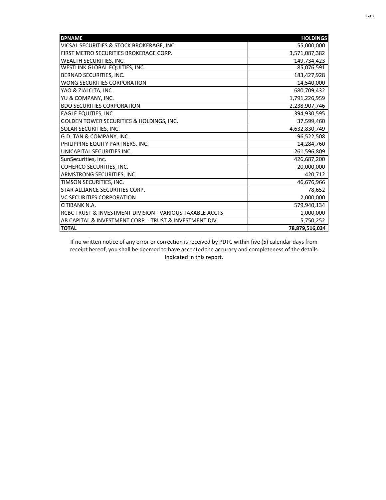| <b>BPNAME</b>                                            | <b>HOLDINGS</b> |
|----------------------------------------------------------|-----------------|
| VICSAL SECURITIES & STOCK BROKERAGE, INC.                | 55,000,000      |
| FIRST METRO SECURITIES BROKERAGE CORP.                   | 3,571,087,382   |
| <b>WEALTH SECURITIES. INC.</b>                           | 149,734,423     |
| <b>WESTLINK GLOBAL EQUITIES, INC.</b>                    | 85,076,591      |
| BERNAD SECURITIES, INC.                                  | 183,427,928     |
| WONG SECURITIES CORPORATION                              | 14,540,000      |
| YAO & ZIALCITA, INC.                                     | 680,709,432     |
| YU & COMPANY, INC.                                       | 1,791,226,959   |
| <b>BDO SECURITIES CORPORATION</b>                        | 2,238,907,746   |
| <b>EAGLE EQUITIES, INC.</b>                              | 394,930,595     |
| GOLDEN TOWER SECURITIES & HOLDINGS, INC.                 | 37,599,460      |
| <b>SOLAR SECURITIES. INC.</b>                            | 4,632,830,749   |
| G.D. TAN & COMPANY, INC.                                 | 96,522,508      |
| PHILIPPINE EQUITY PARTNERS, INC.                         | 14,284,760      |
| UNICAPITAL SECURITIES INC.                               | 261,596,809     |
| SunSecurities, Inc.                                      | 426,687,200     |
| COHERCO SECURITIES, INC.                                 | 20,000,000      |
| ARMSTRONG SECURITIES, INC.                               | 420,712         |
| TIMSON SECURITIES, INC.                                  | 46,676,966      |
| STAR ALLIANCE SECURITIES CORP.                           | 78,652          |
| <b>VC SECURITIES CORPORATION</b>                         | 2,000,000       |
| CITIBANK N.A.                                            | 579,940,134     |
| RCBC TRUST & INVESTMENT DIVISION - VARIOUS TAXABLE ACCTS | 1,000,000       |
| AB CAPITAL & INVESTMENT CORP. - TRUST & INVESTMENT DIV.  | 5,750,252       |
| <b>TOTAL</b>                                             | 78,879,516,034  |

If no written notice of any error or correction is received by PDTC within five (5) calendar days from receipt hereof, you shall be deemed to have accepted the accuracy and completeness of the details indicated in this report.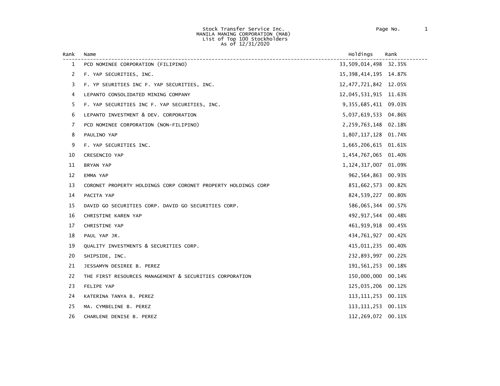#### Stock Transfer Service Inc. Page No. 1 MANILA MANING CORPORATION (MAB) List of Top 100 Stockholders As of 12/31/2020

| Rank | Name                                                          | Holdings                 | Rank   |
|------|---------------------------------------------------------------|--------------------------|--------|
| 1    | PCD NOMINEE CORPORATION (FILIPINO)                            | 33,509,014,498 32.35%    |        |
| 2    | F. YAP SECURITIES, INC.                                       | 15, 398, 414, 195 14.87% |        |
| 3    | F. YP SEURITIES INC F. YAP SECURITIES, INC.                   | 12, 477, 721, 842 12.05% |        |
| 4    | LEPANTO CONSOLIDATED MINING COMPANY                           | 12,045,531,915 11.63%    |        |
| 5    | F. YAP SECURITIES INC F. YAP SECURITIES, INC.                 | 9, 355, 685, 411 09.03%  |        |
| 6    | LEPANTO INVESTMENT & DEV. CORPORATION                         | 5,037,619,533 04.86%     |        |
| 7    | PCD NOMINEE CORPORATION (NON-FILIPINO)                        | 2,259,763,148 02.18%     |        |
| 8    | PAULINO YAP                                                   | 1,807,117,128 01.74%     |        |
| 9    | F. YAP SECURITIES INC.                                        | 1,665,206,615 01.61%     |        |
| 10   | CRESENCIO YAP                                                 | 1,454,767,065 01.40%     |        |
| 11   | BRYAN YAP                                                     | 1, 124, 317, 007 01.09%  |        |
| 12   | EMMA YAP                                                      | 962, 564, 863 00.93%     |        |
| 13   | CORONET PROPERTY HOLDINGS CORP CORONET PROPERTY HOLDINGS CORP | 851,662,573 00.82%       |        |
| 14   | PACITA YAP                                                    | 824,539,227 00.80%       |        |
| 15   | DAVID GO SECURITIES CORP. DAVID GO SECURITIES CORP.           | 586,065,344 00.57%       |        |
| 16   | CHRISTINE KAREN YAP                                           | 492, 917, 544 00.48%     |        |
| 17   | CHRISTINE YAP                                                 | 461, 919, 918 00.45%     |        |
| 18   | PAUL YAP JR.                                                  | 434,761,927 00.42%       |        |
| 19   | QUALITY INVESTMENTS & SECURITIES CORP.                        | 415,011,235              | 00.40% |
| 20   | SHIPSIDE, INC.                                                | 232,893,997 00.22%       |        |
| 21   | JESSAMYN DESIREE B. PEREZ                                     | 191,561,253              | 00.18% |
| 22   | THE FIRST RESOURCES MANAGEMENT & SECURITIES CORPORATION       | 150,000,000              | 00.14% |
| 23   | FELIPE YAP                                                    | 125,035,206 00.12%       |        |
| 24   | KATERINA TANYA B. PEREZ                                       | 113, 111, 253 00. 11%    |        |
| 25   | MA. CYMBELINE B. PEREZ                                        | 113, 111, 253 00. 11%    |        |
| 26   | CHARLENE DENISE B. PEREZ                                      | 112,269,072 00.11%       |        |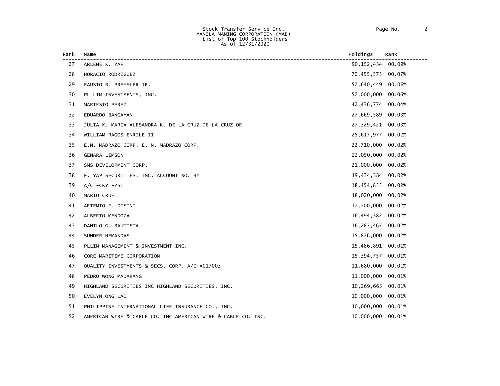| Rank | Name                                                         | Holdings            | Rank   |
|------|--------------------------------------------------------------|---------------------|--------|
| 27   | ARLENE K. YAP                                                | 90, 152, 434 00.09% |        |
| 28   | HORACIO RODRIGUEZ                                            | 70,455,575          | 00.07% |
| 29   | FAUSTO R. PREYSLER JR.                                       | 57,640,449          | 00.06% |
| 30   | PL LIM INVESTMENTS, INC.                                     | 57,000,000          | 00.06% |
| 31   | MARTESIO PEREZ                                               | 42,436,774          | 00.04% |
| 32   | EDUARDO BANGAYAN                                             | 27,669,589          | 00.03% |
| 33   | JULIA K. MARIA ALESANDRA K. DE LA CRUZ DE LA CRUZ OR         | 27,329,421          | 00.03% |
| 34   | WILLIAM RAGOS ENRILE II                                      | 25,617,977          | 00.02% |
| 35   | E.N. MADRAZO CORP. E. N. MADRAZO CORP.                       | 22,710,000          | 00.02% |
| 36   | <b>GENARA LIMSON</b>                                         | 22,050,000          | 00.02% |
| 37   | SMS DEVELOPMENT CORP.                                        | 21,000,000          | 00.02% |
| 38   | F. YAP SECURITIES, INC. ACCOUNT NO. BY                       | 19,434,384          | 00.02% |
| 39   | A/C -CKY FYSI                                                | 18,454,855          | 00.02% |
| 40   | MARIO CRUEL                                                  | 18,020,000          | 00.02% |
| 41   | ARTEMIO F. DISINI                                            | 17,700,000          | 00.02% |
| 42   | ALBERTO MENDOZA                                              | 16,494,382          | 00.02% |
| 43   | DANILO G. BAUTISTA                                           | 16,287,467          | 00.02% |
| 44   | SUNDER HEMANDAS                                              | 15,876,000          | 00.02% |
| 45   | PLLIM MANAGEMENT & INVESTMENT INC.                           | 15,486,891          | 00.01% |
| 46   | CORE MARITIME CORPORATION                                    | 15,394,757          | 00.01% |
| 47   | QUALITY INVESTMENTS & SECS. CORP. A/C #017003                | 11,680,000          | 00.01% |
| 48   | PEDRO WONG MADARANG                                          | 11,000,000          | 00.01% |
| 49   | HIGHLAND SECURITIES INC HIGHLAND SECURITIES, INC.            | 10,269,663          | 00.01% |
| 50   | EVELYN ONG LAO                                               | 10,000,000          | 00.01% |
| 51   | PHILIPPINE INTERNATIONAL LIFE INSURANCE CO., INC.            | 10,000,000          | 00.01% |
| 52   | AMERICAN WIRE & CABLE CO. INC AMERICAN WIRE & CABLE CO. INC. | 10,000,000          | 00.01% |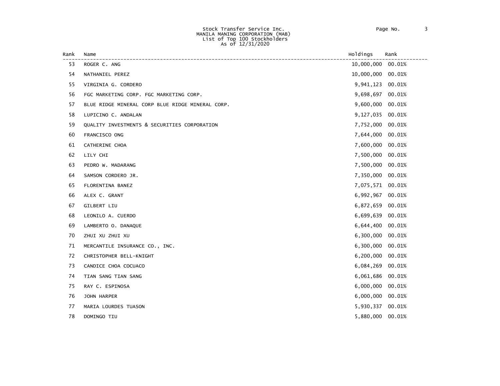#### Stock Transfer Service Inc. Page No. 3 MANILA MANING CORPORATION (MAB) List of Top 100 Stockholders As of 12/31/2020

| Rank | Name                                             | Holdings         | Rank   |
|------|--------------------------------------------------|------------------|--------|
| 53   | ROGER C. ANG                                     | 10,000,000       | 00.01% |
| 54   | NATHANIEL PEREZ                                  | 10,000,000       | 00.01% |
| 55   | VIRGINIA G. CORDERO                              | 9,941,123        | 00.01% |
| 56   | FGC MARKETING CORP. FGC MARKETING CORP.          | 9,698,697        | 00.01% |
| 57   | BLUE RIDGE MINERAL CORP BLUE RIDGE MINERAL CORP. | 9,600,000        | 00.01% |
| 58   | LUPICINO C. ANDALAN                              | 9,127,035        | 00.01% |
| 59   | QUALITY INVESTMENTS & SECURITIES CORPORATION     | 7,752,000        | 00.01% |
| 60   | FRANCISCO ONG                                    | 7,644,000        | 00.01% |
| 61   | CATHERINE CHOA                                   | 7,600,000        | 00.01% |
| 62   | LILY CHI                                         | 7,500,000        | 00.01% |
| 63   | PEDRO W. MADARANG                                | 7,500,000        | 00.01% |
| 64   | SAMSON CORDERO JR.                               | 7,350,000        | 00.01% |
| 65   | FLORENTINA BANEZ                                 | 7,075,571 00.01% |        |
| 66   | ALEX C. GRANT                                    | 6,992,967        | 00.01% |
| 67   | GILBERT LIU                                      | 6,872,659        | 00.01% |
| 68   | LEONILO A. CUERDO                                | 6,699,639        | 00.01% |
| 69   | LAMBERTO O. DANAQUE                              | 6,644,400        | 00.01% |
| 70   | ZHUI XU ZHUI XU                                  | 6,300,000        | 00.01% |
| 71   | MERCANTILE INSURANCE CO., INC.                   | 6,300,000        | 00.01% |
| 72   | CHRISTOPHER BELL-KNIGHT                          | 6,200,000        | 00.01% |
| 73   | CANDICE CHOA COCUACO                             | 6,084,269        | 00.01% |
| 74   | TIAN SANG TIAN SANG                              | 6,061,686        | 00.01% |
| 75   | RAY C. ESPINOSA                                  | 6,000,000        | 00.01% |
| 76   | JOHN HARPER                                      | 6,000,000        | 00.01% |
| 77   | MARIA LOURDES TUASON                             | 5,930,337 00.01% |        |
| 78   | DOMINGO TIU                                      | 5,880,000        | 00.01% |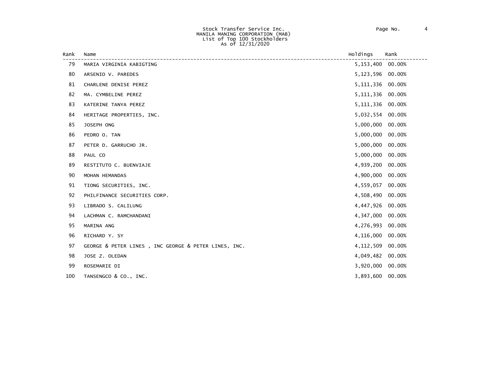| Rank | Name                                                 | Holdings           | Rank   |
|------|------------------------------------------------------|--------------------|--------|
| 79   | MARIA VIRGINIA KABIGTING                             | 5, 153, 400 00.00% |        |
| 80   | ARSENIO V. PAREDES                                   | 5,123,596          | 00.00% |
| 81   | CHARLENE DENISE PEREZ                                | 5,111,336          | 00.00% |
| 82   | MA. CYMBELINE PEREZ                                  | 5, 111, 336        | 00.00% |
| 83   | KATERINE TANYA PEREZ                                 | 5,111,336          | 00.00% |
| 84   | HERITAGE PROPERTIES, INC.                            | 5,032,554          | 00.00% |
| 85   | JOSEPH ONG                                           | 5,000,000          | 00.00% |
| 86   | PEDRO O. TAN                                         | 5,000,000          | 00.00% |
| 87   | PETER D. GARRUCHO JR.                                | 5,000,000          | 00.00% |
| 88   | PAUL CO                                              | 5,000,000          | 00.00% |
| 89   | RESTITUTO C. BUENVIAJE                               | 4,939,200          | 00.00% |
| 90   | MOHAN HEMANDAS                                       | 4,900,000          | 00.00% |
| 91   | TIONG SECURITIES, INC.                               | 4,559,057          | 00.00% |
| 92   | PHILFINANCE SECURITIES CORP.                         | 4,508,490          | 00.00% |
| 93   | LIBRADO S. CALILUNG                                  | 4,447,926          | 00.00% |
| 94   | LACHMAN C. RAMCHANDANI                               | 4,347,000          | 00.00% |
| 95   | MARINA ANG                                           | 4,276,993          | 00.00% |
| 96   | RICHARD Y. SY                                        | 4,116,000          | 00.00% |
| 97   | GEORGE & PETER LINES, INC GEORGE & PETER LINES, INC. | 4,112,509          | 00.00% |
| 98   | JOSE Z. OLEDAN                                       | 4,049,482          | 00.00% |
| 99   | ROSEMARIE DI                                         | 3,920,000          | 00.00% |
| 100  | TANSENGCO & CO., INC.                                | 3,893,600          | 00.00% |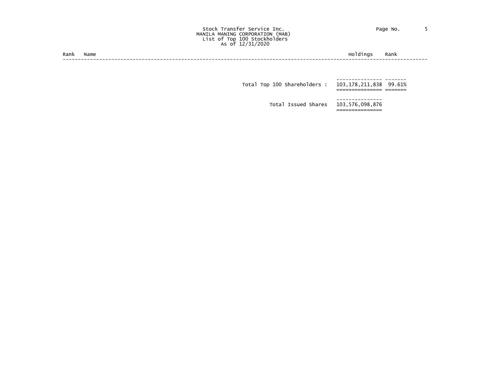#### Stock Transfer Service Inc. The Contract of Page No. 5 MANILA MANING CORPORATION (MAB) List of Top 100 Stockholders As of 12/31/2020

| --<br>Rank | lame | nc | ,,,, |
|------------|------|----|------|
|            |      |    |      |

 --------------- ------- Total Top 100 Shareholders : 103,178,211,838 99.61%<br>=============== ======

> Total Issued Shares 103,576,098,876 ===============

---------------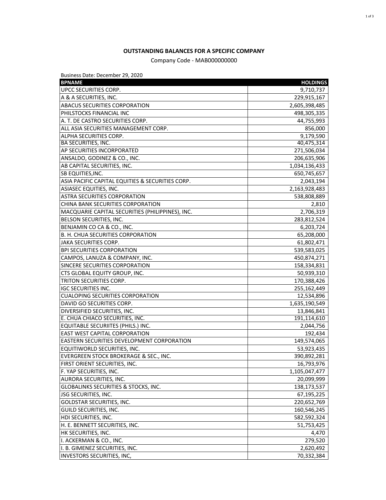# **OUTSTANDING BALANCES FOR A SPECIFIC COMPANY**

# Company Code - MAB000000000

Business Date: December 29, 2020

| <b>BPNAME</b>                                     | <b>HOLDINGS</b> |
|---------------------------------------------------|-----------------|
| UPCC SECURITIES CORP.                             | 9,710,737       |
| A & A SECURITIES, INC.                            | 229,915,167     |
| <b>ABACUS SECURITIES CORPORATION</b>              | 2,605,398,485   |
| PHILSTOCKS FINANCIAL INC                          | 498,305,335     |
| A. T. DE CASTRO SECURITIES CORP.                  | 44,755,993      |
| ALL ASIA SECURITIES MANAGEMENT CORP.              | 856,000         |
| ALPHA SECURITIES CORP.                            | 9,179,590       |
| <b>BA SECURITIES, INC.</b>                        | 40,475,314      |
| AP SECURITIES INCORPORATED                        | 271,506,034     |
| ANSALDO, GODINEZ & CO., INC.                      | 206,635,906     |
| AB CAPITAL SECURITIES, INC.                       | 1,034,136,433   |
| <b>SB EQUITIES, INC.</b>                          | 650,745,657     |
| ASIA PACIFIC CAPITAL EQUITIES & SECURITIES CORP.  | 2,043,194       |
| <b>ASIASEC EQUITIES, INC.</b>                     | 2,163,928,483   |
| <b>ASTRA SECURITIES CORPORATION</b>               | 538,808,889     |
| CHINA BANK SECURITIES CORPORATION                 | 2,810           |
| MACQUARIE CAPITAL SECURITIES (PHILIPPINES), INC.  | 2,706,319       |
| BELSON SECURITIES, INC.                           | 283,812,524     |
| BENJAMIN CO CA & CO., INC.                        | 6,203,724       |
| B. H. CHUA SECURITIES CORPORATION                 | 65,208,000      |
| JAKA SECURITIES CORP.                             | 61,802,471      |
| <b>BPI SECURITIES CORPORATION</b>                 | 539,583,025     |
| CAMPOS, LANUZA & COMPANY, INC.                    | 450,874,271     |
| SINCERE SECURITIES CORPORATION                    | 158,334,831     |
| CTS GLOBAL EQUITY GROUP, INC.                     | 50,939,310      |
| TRITON SECURITIES CORP.                           | 170,388,426     |
| <b>IGC SECURITIES INC.</b>                        | 255,162,449     |
| <b>CUALOPING SECURITIES CORPORATION</b>           | 12,534,896      |
| DAVID GO SECURITIES CORP.                         | 1,635,190,549   |
| DIVERSIFIED SECURITIES, INC.                      | 13,846,841      |
| E. CHUA CHIACO SECURITIES, INC.                   | 191,114,610     |
| EQUITABLE SECURIITES (PHILS.) INC.                | 2,044,756       |
| <b>EAST WEST CAPITAL CORPORATION</b>              | 192,434         |
| <b>EASTERN SECURITIES DEVELOPMENT CORPORATION</b> | 149,574,065     |
| EQUITIWORLD SECURITIES, INC.                      | 53,923,435      |
| <b>EVERGREEN STOCK BROKERAGE &amp; SEC., INC.</b> | 390,892,281     |
| FIRST ORIENT SECURITIES, INC.                     | 16,793,976      |
| F. YAP SECURITIES, INC.                           | 1,105,047,477   |
| AURORA SECURITIES, INC.                           | 20,099,999      |
| <b>GLOBALINKS SECURITIES &amp; STOCKS, INC.</b>   | 138,173,537     |
| JSG SECURITIES, INC.                              | 67,195,225      |
| <b>GOLDSTAR SECURITIES, INC.</b>                  | 220,652,769     |
| GUILD SECURITIES, INC.                            | 160,546,245     |
| HDI SECURITIES, INC.                              | 582,592,324     |
| H. E. BENNETT SECURITIES, INC.                    | 51,753,425      |
| HK SECURITIES, INC.                               | 4,470           |
| I. ACKERMAN & CO., INC.                           | 279,520         |
| I. B. GIMENEZ SECURITIES, INC.                    | 2,620,492       |
| INVESTORS SECURITIES, INC,                        | 70,332,384      |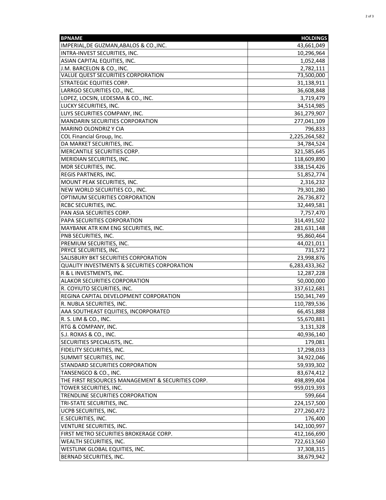| <b>BPNAME</b>                                     | <b>HOLDINGS</b>        |
|---------------------------------------------------|------------------------|
| IMPERIAL, DE GUZMAN, ABALOS & CO., INC.           | 43,661,049             |
| INTRA-INVEST SECURITIES, INC.                     | 10,296,964             |
| ASIAN CAPITAL EQUITIES, INC.                      | 1,052,448              |
| J.M. BARCELON & CO., INC.                         | 2,782,111              |
| VALUE QUEST SECURITIES CORPORATION                | 73,500,000             |
| <b>STRATEGIC EQUITIES CORP.</b>                   | 31,138,911             |
| LARRGO SECURITIES CO., INC.                       | 36,608,848             |
| LOPEZ, LOCSIN, LEDESMA & CO., INC.                | 3,719,479              |
| LUCKY SECURITIES, INC.                            | 34,514,985             |
| LUYS SECURITIES COMPANY, INC.                     | 361,279,907            |
| <b>MANDARIN SECURITIES CORPORATION</b>            | 277,041,109            |
| MARINO OLONDRIZ Y CIA                             | 796,833                |
| COL Financial Group, Inc.                         | 2,225,264,582          |
| DA MARKET SECURITIES, INC.                        | 34,784,524             |
| MERCANTILE SECURITIES CORP.                       | 321,585,645            |
| MERIDIAN SECURITIES, INC.                         | 118,609,890            |
| MDR SECURITIES, INC.                              | 338,154,426            |
| <b>REGIS PARTNERS, INC.</b>                       | 51,852,774             |
| MOUNT PEAK SECURITIES, INC.                       | 2,316,232              |
| NEW WORLD SECURITIES CO., INC.                    | 79,301,280             |
| OPTIMUM SECURITIES CORPORATION                    | 26,736,872             |
| RCBC SECURITIES, INC.                             | 32,449,581             |
| PAN ASIA SECURITIES CORP.                         | 7,757,470              |
| PAPA SECURITIES CORPORATION                       | 314,491,502            |
| MAYBANK ATR KIM ENG SECURITIES, INC.              | 281,631,148            |
| PNB SECURITIES, INC.                              | 95,860,464             |
| PREMIUM SECURITIES, INC.                          | 44,021,011             |
| PRYCE SECURITIES, INC.                            | 731,572                |
| SALISBURY BKT SECURITIES CORPORATION              | 23,998,876             |
| QUALITY INVESTMENTS & SECURITIES CORPORATION      | 6,283,433,362          |
| R & L INVESTMENTS, INC.                           | 12,287,228             |
| ALAKOR SECURITIES CORPORATION                     | 50,000,000             |
| R. COYIUTO SECURITIES, INC.                       | 337,612,681            |
| REGINA CAPITAL DEVELOPMENT CORPORATION            | 150,341,749            |
| R. NUBLA SECURITIES, INC.                         | 110,789,536            |
| AAA SOUTHEAST EQUITIES, INCORPORATED              | 66,451,888             |
| R. S. LIM & CO., INC.                             | 55,670,881             |
| RTG & COMPANY, INC.                               | 3,131,328              |
| S.J. ROXAS & CO., INC.                            | 40,936,140             |
| SECURITIES SPECIALISTS, INC.                      | 179,081                |
| <b>FIDELITY SECURITIES, INC.</b>                  | 17,298,033             |
| SUMMIT SECURITIES, INC.                           | 34,922,046             |
| STANDARD SECURITIES CORPORATION                   | 59,939,302             |
| TANSENGCO & CO., INC.                             | 83,674,412             |
| THE FIRST RESOURCES MANAGEMENT & SECURITIES CORP. | 498,899,404            |
| TOWER SECURITIES, INC.                            | 959,019,393            |
| TRENDLINE SECURITIES CORPORATION                  |                        |
| TRI-STATE SECURITIES, INC.                        | 599,664<br>224,157,500 |
| <b>UCPB SECURITIES, INC.</b>                      | 277,260,472            |
| E.SECURITIES, INC.                                | 176,400                |
| VENTURE SECURITIES, INC.                          | 142,100,997            |
| FIRST METRO SECURITIES BROKERAGE CORP.            | 412,166,690            |
| <b>WEALTH SECURITIES, INC.</b>                    | 722,613,560            |
| WESTLINK GLOBAL EQUITIES, INC.                    | 37,308,315             |
| BERNAD SECURITIES, INC.                           | 38,679,942             |
|                                                   |                        |